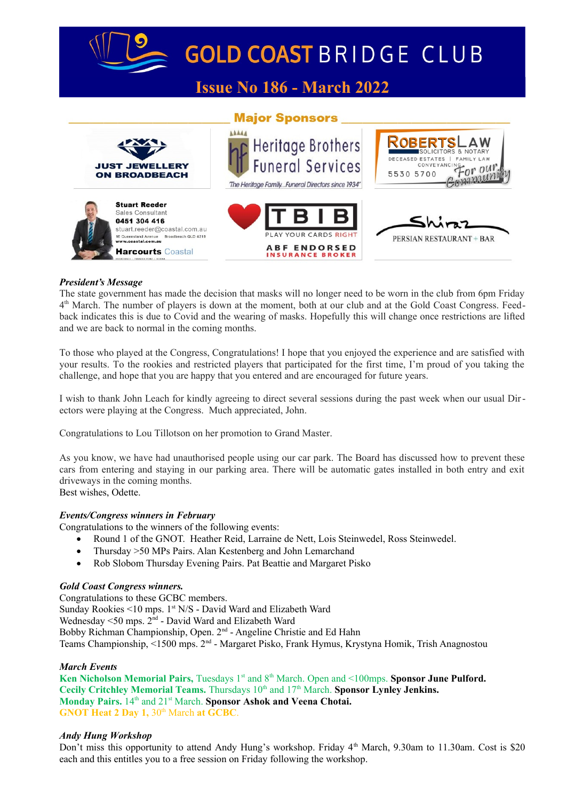

**GOLD COAST BRIDGE CLUB** 

### *President's Message*

The state government has made the decision that masks will no longer need to be worn in the club from 6pm Friday 4<sup>th</sup> March. The number of players is down at the moment, both at our club and at the Gold Coast Congress. Feedback indicates this is due to Covid and the wearing of masks. Hopefully this will change once restrictions are lifted and we are back to normal in the coming months.

To those who played at the Congress, Congratulations! I hope that you enjoyed the experience and are satisfied with your results. To the rookies and restricted players that participated for the first time, I'm proud of you taking the challenge, and hope that you are happy that you entered and are encouraged for future years.

I wish to thank John Leach for kindly agreeing to direct several sessions during the past week when our usual Directors were playing at the Congress. Much appreciated, John.

Congratulations to Lou Tillotson on her promotion to Grand Master.

As you know, we have had unauthorised people using our car park. The Board has discussed how to prevent these cars from entering and staying in our parking area. There will be automatic gates installed in both entry and exit driveways in the coming months.

Best wishes, Odette.

### *Events/Congress winners in February*

Congratulations to the winners of the following events:

- Round 1 of the GNOT. Heather Reid, Larraine de Nett, Lois Steinwedel, Ross Steinwedel.
- Thursday >50 MPs Pairs. Alan Kestenberg and John Lemarchand
- Rob Slobom Thursday Evening Pairs. Pat Beattie and Margaret Pisko

#### *Gold Coast Congress winners.*

Congratulations to these GCBC members. Sunday Rookies <10 mps. 1st N/S - David Ward and Elizabeth Ward Wednesday <50 mps.  $2^{nd}$  - David Ward and Elizabeth Ward Bobby Richman Championship, Open. 2<sup>nd</sup> - Angeline Christie and Ed Hahn Teams Championship, <1500 mps. 2nd - Margaret Pisko, Frank Hymus, Krystyna Homik, Trish Anagnostou

#### *March Events*

Ken Nicholson Memorial Pairs, Tuesdays 1<sup>st</sup> and 8<sup>th</sup> March. Open and <100mps. Sponsor June Pulford. Cecily Critchley Memorial Teams. Thursdays 10<sup>th</sup> and 17<sup>th</sup> March. **Sponsor Lynley Jenkins. Monday Pairs.** 14<sup>th</sup> and 21<sup>st</sup> March. **Sponsor Ashok and Veena Chotai. GNOT Heat 2 Day 1, 30th March at GCBC.** 

#### *Andy Hung Workshop*

Don't miss this opportunity to attend Andy Hung's workshop. Friday 4<sup>th</sup> March, 9.30am to 11.30am. Cost is \$20 each and this entitles you to a free session on Friday following the workshop.